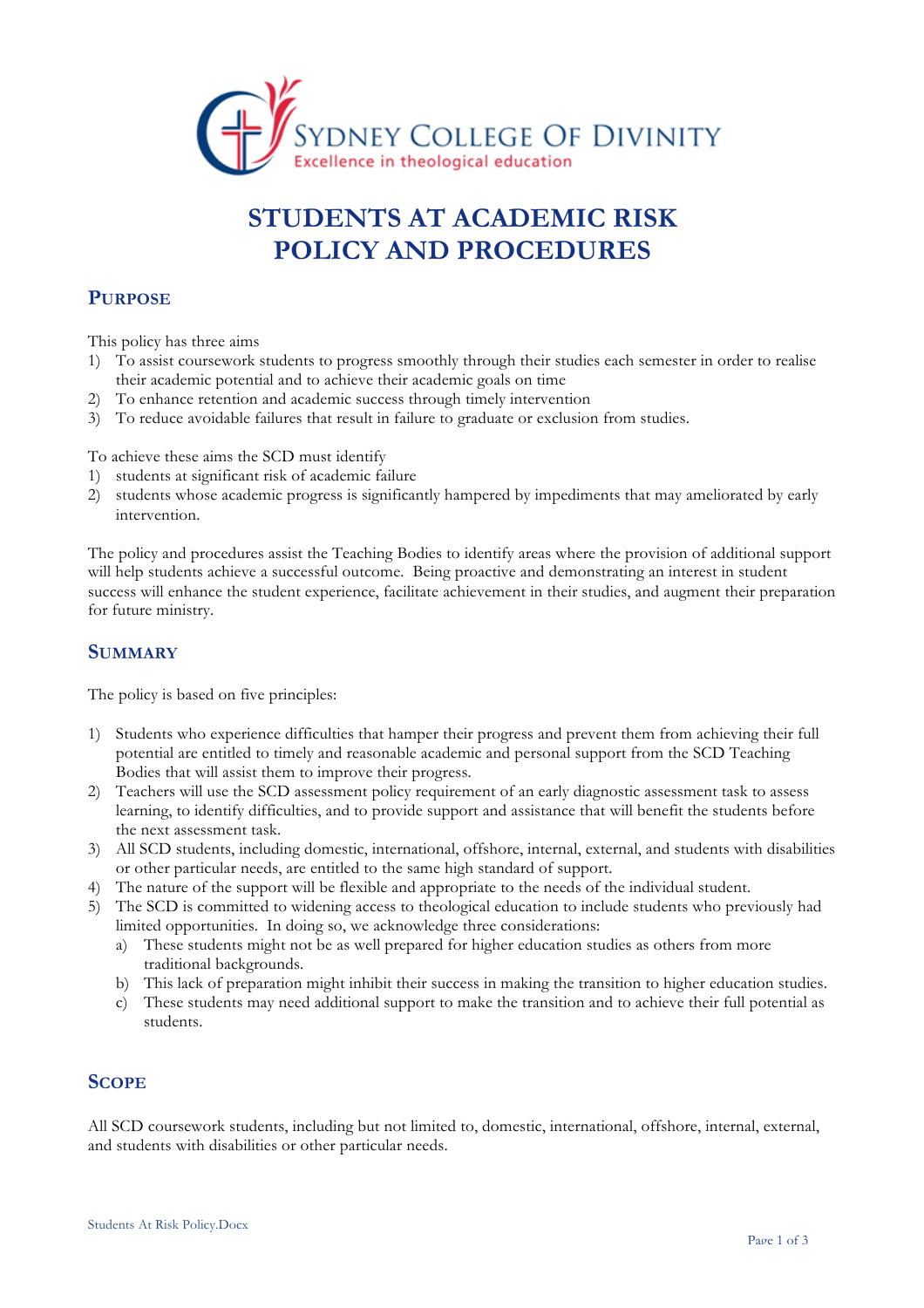

# **STUDENTS AT ACADEMIC RISK POLICY AND PROCEDURES**

#### **PURPOSE**

This policy has three aims

- 1) To assist coursework students to progress smoothly through their studies each semester in order to realise their academic potential and to achieve their academic goals on time
- 2) To enhance retention and academic success through timely intervention
- 3) To reduce avoidable failures that result in failure to graduate or exclusion from studies.

To achieve these aims the SCD must identify

- 1) students at significant risk of academic failure
- 2) students whose academic progress is significantly hampered by impediments that may ameliorated by early intervention.

The policy and procedures assist the Teaching Bodies to identify areas where the provision of additional support will help students achieve a successful outcome. Being proactive and demonstrating an interest in student success will enhance the student experience, facilitate achievement in their studies, and augment their preparation for future ministry.

#### **SUMMARY**

The policy is based on five principles:

- 1) Students who experience difficulties that hamper their progress and prevent them from achieving their full potential are entitled to timely and reasonable academic and personal support from the SCD Teaching Bodies that will assist them to improve their progress.
- 2) Teachers will use the SCD assessment policy requirement of an early diagnostic assessment task to assess learning, to identify difficulties, and to provide support and assistance that will benefit the students before the next assessment task.
- 3) All SCD students, including domestic, international, offshore, internal, external, and students with disabilities or other particular needs, are entitled to the same high standard of support.
- 4) The nature of the support will be flexible and appropriate to the needs of the individual student.
- 5) The SCD is committed to widening access to theological education to include students who previously had limited opportunities. In doing so, we acknowledge three considerations:
	- a) These students might not be as well prepared for higher education studies as others from more traditional backgrounds.
	- b) This lack of preparation might inhibit their success in making the transition to higher education studies.
	- c) These students may need additional support to make the transition and to achieve their full potential as students.

#### **SCOPE**

All SCD coursework students, including but not limited to, domestic, international, offshore, internal, external, and students with disabilities or other particular needs.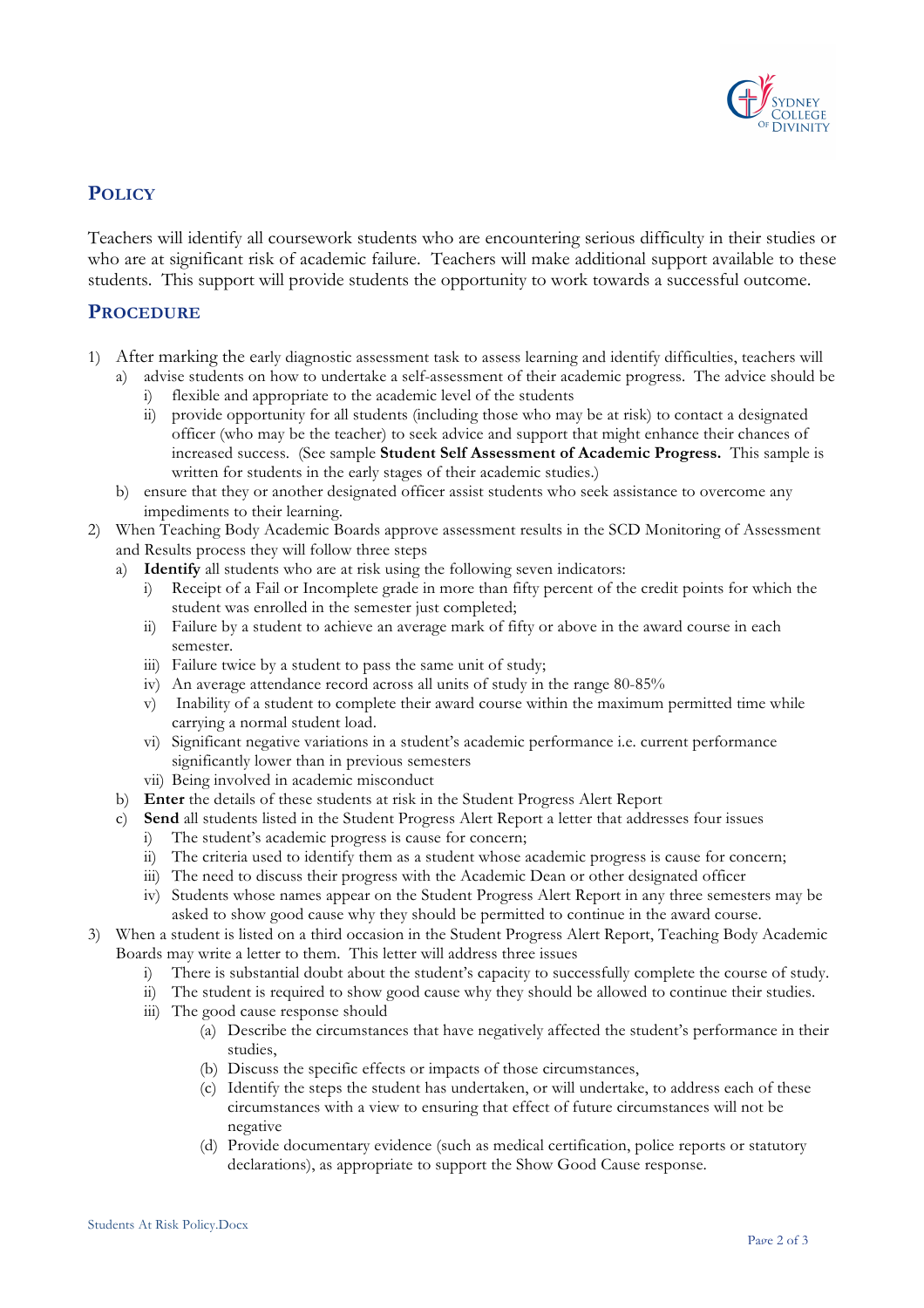

## **POLICY**

Teachers will identify all coursework students who are encountering serious difficulty in their studies or who are at significant risk of academic failure. Teachers will make additional support available to these students. This support will provide students the opportunity to work towards a successful outcome.

### **PROCEDURE**

- 1) After marking the early diagnostic assessment task to assess learning and identify difficulties, teachers will a) advise students on how to undertake a self-assessment of their academic progress. The advice should be
	- i) flexible and appropriate to the academic level of the students
	- ii) provide opportunity for all students (including those who may be at risk) to contact a designated officer (who may be the teacher) to seek advice and support that might enhance their chances of increased success. (See sample **Student Self Assessment of Academic Progress.** This sample is written for students in the early stages of their academic studies.)
	- b) ensure that they or another designated officer assist students who seek assistance to overcome any impediments to their learning.
- 2) When Teaching Body Academic Boards approve assessment results in the SCD Monitoring of Assessment and Results process they will follow three steps
	- a) **Identify** all students who are at risk using the following seven indicators:
		- Receipt of a Fail or Incomplete grade in more than fifty percent of the credit points for which the student was enrolled in the semester just completed;
		- ii) Failure by a student to achieve an average mark of fifty or above in the award course in each semester.
		- iii) Failure twice by a student to pass the same unit of study;
		- iv) An average attendance record across all units of study in the range 80-85%
		- v) Inability of a student to complete their award course within the maximum permitted time while carrying a normal student load.
		- vi) Significant negative variations in a student's academic performance i.e. current performance significantly lower than in previous semesters
		- vii) Being involved in academic misconduct
	- b) **Enter** the details of these students at risk in the Student Progress Alert Report
	- c) **Send** all students listed in the Student Progress Alert Report a letter that addresses four issues
		- i) The student's academic progress is cause for concern;
		- ii) The criteria used to identify them as a student whose academic progress is cause for concern;
		- iii) The need to discuss their progress with the Academic Dean or other designated officer
		- iv) Students whose names appear on the Student Progress Alert Report in any three semesters may be asked to show good cause why they should be permitted to continue in the award course.
- 3) When a student is listed on a third occasion in the Student Progress Alert Report, Teaching Body Academic Boards may write a letter to them. This letter will address three issues
	- i) There is substantial doubt about the student's capacity to successfully complete the course of study.
	- ii) The student is required to show good cause why they should be allowed to continue their studies.
	- iii) The good cause response should
		- (a) Describe the circumstances that have negatively affected the student's performance in their studies,
		- (b) Discuss the specific effects or impacts of those circumstances,
		- (c) Identify the steps the student has undertaken, or will undertake, to address each of these circumstances with a view to ensuring that effect of future circumstances will not be negative
		- (d) Provide documentary evidence (such as medical certification, police reports or statutory declarations), as appropriate to support the Show Good Cause response.